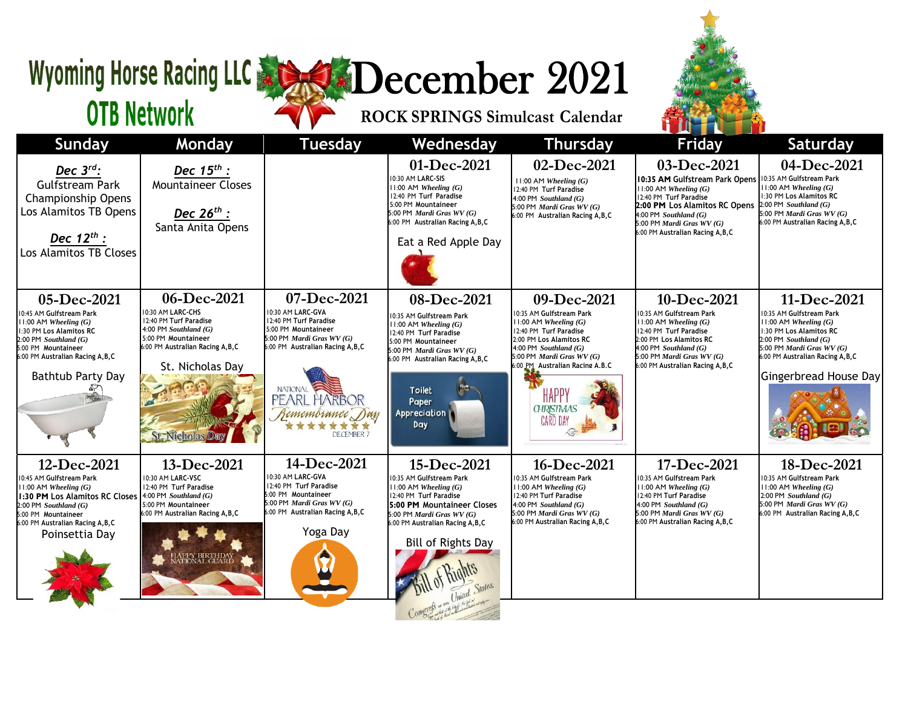## Wyoming Horse Racing LLC & SO December 2021

**ROCK SPRINGS Simulcast Calendar**



## **OTB Network**

| <b>Sunday</b>                                                                                                                                                                                                      | <b>Monday</b>                                                                                                                                                                            | <b>Tuesday</b>                                                                                                                                                                                                                          | Wednesday                                                                                                                                                                                                                                 | <b>Thursday</b>                                                                                                                                                                                                                                                     | <b>Friday</b>                                                                                                                                                                                                                               | Saturday                                                                                                                                                                                                                 |
|--------------------------------------------------------------------------------------------------------------------------------------------------------------------------------------------------------------------|------------------------------------------------------------------------------------------------------------------------------------------------------------------------------------------|-----------------------------------------------------------------------------------------------------------------------------------------------------------------------------------------------------------------------------------------|-------------------------------------------------------------------------------------------------------------------------------------------------------------------------------------------------------------------------------------------|---------------------------------------------------------------------------------------------------------------------------------------------------------------------------------------------------------------------------------------------------------------------|---------------------------------------------------------------------------------------------------------------------------------------------------------------------------------------------------------------------------------------------|--------------------------------------------------------------------------------------------------------------------------------------------------------------------------------------------------------------------------|
| Dec $3^{rd}$ :<br>Gulfstream Park<br><b>Championship Opens</b><br>Los Alamitos TB Opens<br>Dec $12^{th}$ :<br>Los Alamitos TB Closes                                                                               | Dec $15^{th}$ :<br><b>Mountaineer Closes</b><br>Dec $26^{th}$ :<br>Santa Anita Opens                                                                                                     |                                                                                                                                                                                                                                         | 01-Dec-2021<br>10:30 AM LARC-SIS<br>$11:00$ AM Wheeling $(G)$<br>12:40 PM Turf Paradise<br>5:00 PM Mountaineer<br>5:00 PM Mardi Gras WV (G)<br>6:00 PM Australian Racing A, B, C<br>Eat a Red Apple Day                                   | 02-Dec-2021<br>$11:00$ AM Wheeling $(G)$<br>12:40 PM Turf Paradise<br>4:00 PM Southland $(G)$<br>5:00 PM Mardi Gras WV (G)<br>6:00 PM Australian Racing A, B, C                                                                                                     | 03-Dec-2021<br>10:35 AM Gulfstream Park Opens<br>$11:00$ AM Wheeling $(G)$<br>12:40 PM Turf Paradise<br>2:00 PM Los Alamitos RC Opens<br>$4:00$ PM Southland (G)<br>$5:00$ PM <i>Mardi Gras WV</i> (G)<br>6:00 PM Australian Racing A, B, C | 04-Dec-2021<br>10:35 AM Gulfstream Park<br>$11:00$ AM Wheeling $(G)$<br>1:30 PM Los Alamitos RC<br>$2:00$ PM Southland (G)<br>5:00 PM Mardi Gras $WV(G)$<br>6:00 PM Australian Racing A, B, C                            |
| 05-Dec-2021<br>10:45 AM Gulfstream Park<br>11:00 AM Wheeling $(G)$<br>1:30 PM Los Alamitos RC<br>$2:00$ PM Southland $(G)$<br>5:00 PM Mountaineer<br>6:00 PM Australian Racing A, B, C<br><b>Bathtub Party Day</b> | 06-Dec-2021<br>10:30 AM LARC-CHS<br>12:40 PM Turf Paradise<br>4:00 PM Southland $(G)$<br>5:00 PM Mountaineer<br>6:00 PM Australian Racing A, B, C<br>St. Nicholas Day<br>St. Nicholas Da | 07-Dec-2021<br>10:30 AM LARC-GVA<br>12:40 PM Turf Paradise<br>5:00 PM Mountaineer<br>5:00 PM <i>Mardi Gras WV</i> $(G)$<br>6:00 PM Australian Racing A, B, C<br><b>NATIONAL</b><br>PEARL HARBOR<br>Remembrance Day<br><b>DECEMBER 7</b> | 08-Dec-2021<br>10:35 AM Gulfstream Park<br>$11:00$ AM Wheeling $(G)$<br>12:40 PM Turf Paradise<br>5:00 PM Mountaineer<br>5:00 PM Mardi Gras $WV(G)$<br>6:00 PM Australian Racing A, B, C<br><b>Toilet</b><br>Paper<br>Appreciation<br>Day | 09-Dec-2021<br>10:35 AM Gulfstream Park<br>$11:00$ AM Wheeling $(G)$<br>12:40 PM Turf Paradise<br>2:00 PM Los Alamitos RC<br>4:00 PM Southland $(G)$<br>5:00 PM Mardi Gras WV (G)<br>6:00 PM Australian Racing A.B.C<br>HAPP<br><b>CHRISTMAS</b><br><b>CARD DAY</b> | 10-Dec-2021<br>10:35 AM Gulfstream Park<br>$11:00$ AM Wheeling $(G)$<br>12:40 PM Turf Paradise<br>2:00 PM Los Alamitos RC<br>$4:00$ PM Southland (G)<br>5:00 PM Mardi Gras $WV(G)$<br>6:00 PM Australian Racing A, B, C                     | 11-Dec-2021<br>10:35 AM Gulfstream Park<br>$11:00$ AM Wheeling $(G)$<br>1:30 PM Los Alamitos RC<br>$2:00$ PM Southland $(G)$<br>5:00 PM Mardi Gras $WV(G)$<br>6:00 PM Australian Racing A, B, C<br>Gingerbread House Day |
| 12-Dec-2021<br>10:45 AM Gulfstream Park<br>$11:00$ AM Wheeling $(G)$<br>1:30 PM Los Alamitos RC Closes<br>$2:00$ PM Southland $(G)$<br>5:00 PM Mountaineer<br>6:00 PM Australian Racing A, B, C<br>Poinsettia Day  | 13-Dec-2021<br>10:30 AM LARC-VSC<br>12:40 PM Turf Paradise<br>4:00 PM Southland $(G)$<br>5:00 PM Mountaineer<br>6:00 PM Australian Racing A, B, C<br>IAPPY BIRTHDAY<br>IATIONAL GUARL    | 14-Dec-2021<br>10:30 AM LARC-GVA<br>12:40 PM Turf Paradise<br>5:00 PM Mountaineer<br>5:00 PM <i>Mardi Gras WV</i> $(G)$<br>6:00 PM Australian Racing A, B, C<br>Yoga Day                                                                | 15-Dec-2021<br>10:35 AM Gulfstream Park<br>$11:00$ AM Wheeling $(G)$<br>12:40 PM Turf Paradise<br>5:00 PM Mountaineer Closes<br>5:00 PM Mardi Gras $WV(G)$<br>6:00 PM Australian Racing A, B, C<br>Bill of Rights Day                     | 16-Dec-2021<br>10:35 AM Gulfstream Park<br>$11:00$ AM Wheeling $(G)$<br>12:40 PM Turf Paradise<br>4:00 PM Southland $(G)$<br>5:00 PM Mardi Gras WV (G)<br>6:00 PM Australian Racing A, B, C                                                                         | 17-Dec-2021<br>10:35 AM Gulfstream Park<br>$11:00$ AM Wheeling $(G)$<br>12:40 PM Turf Paradise<br>4:00 PM Southland $(G)$<br>5:00 PM Mardi Gras $WV(G)$<br>6:00 PM Australian Racing A, B, C                                                | 18-Dec-2021<br>10:35 AM Gulfstream Park<br>$11:00$ AM Wheeling $(G)$<br>$2:00$ PM Southland $(G)$<br>5:00 PM <i>Mardi Gras WV</i> $(G)$<br>6:00 PM Australian Racing A, B, C                                             |